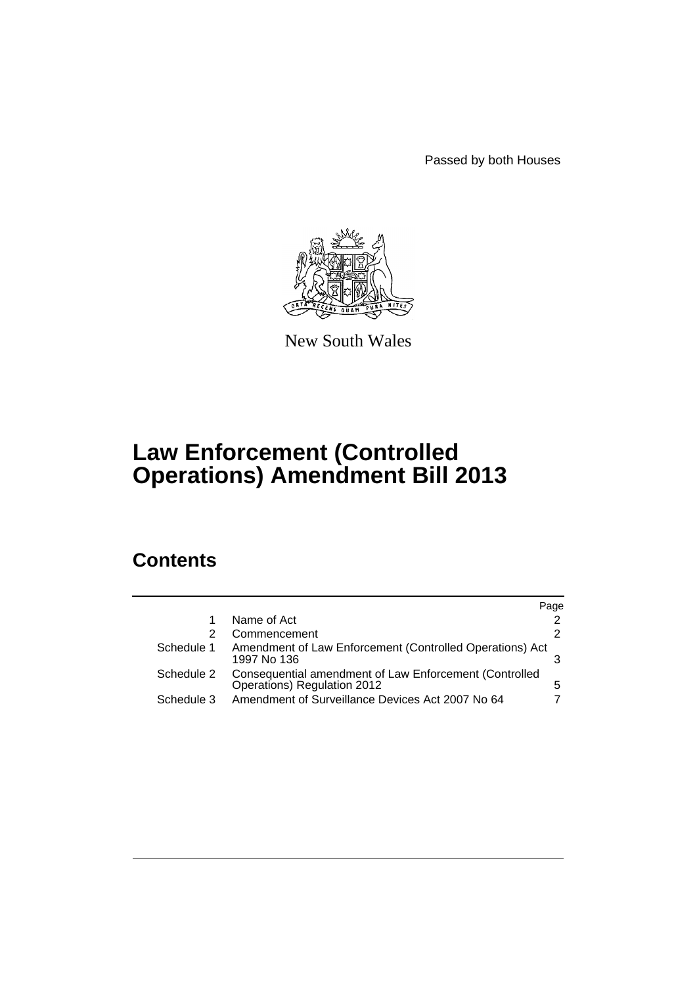Passed by both Houses



New South Wales

# **Law Enforcement (Controlled Operations) Amendment Bill 2013**

## **Contents**

|            |                                                                                       | Page |
|------------|---------------------------------------------------------------------------------------|------|
| 1          | Name of Act                                                                           |      |
| 2          | Commencement                                                                          | 2    |
| Schedule 1 | Amendment of Law Enforcement (Controlled Operations) Act<br>1997 No 136               |      |
| Schedule 2 | Consequential amendment of Law Enforcement (Controlled<br>Operations) Regulation 2012 | 5    |
| Schedule 3 | Amendment of Surveillance Devices Act 2007 No 64                                      |      |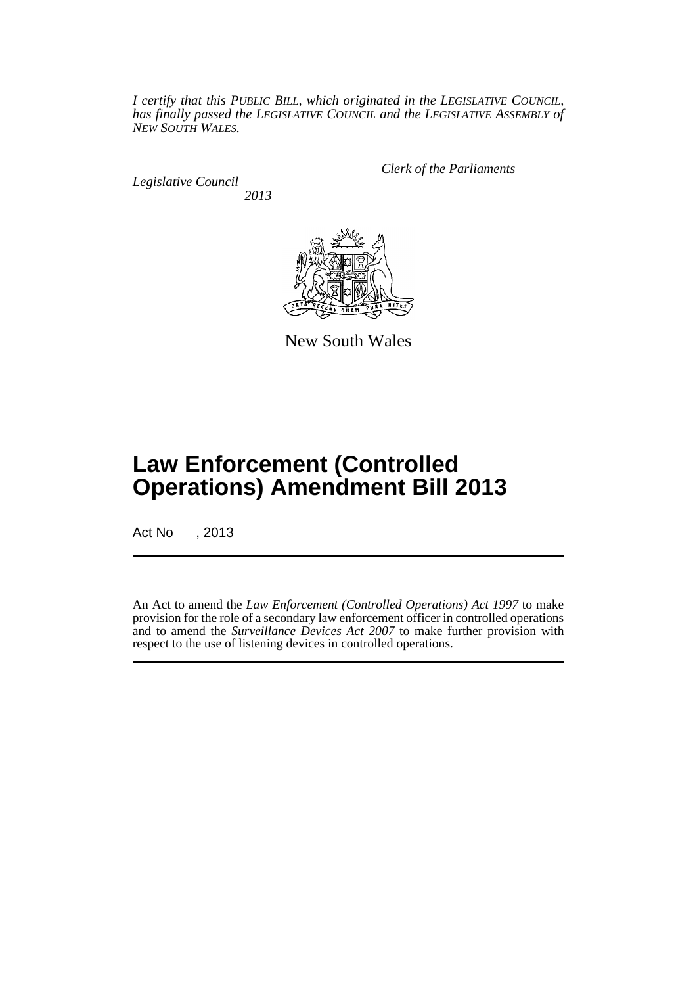*I certify that this PUBLIC BILL, which originated in the LEGISLATIVE COUNCIL, has finally passed the LEGISLATIVE COUNCIL and the LEGISLATIVE ASSEMBLY of NEW SOUTH WALES.*

*Legislative Council 2013* *Clerk of the Parliaments*



New South Wales

## **Law Enforcement (Controlled Operations) Amendment Bill 2013**

Act No , 2013

An Act to amend the *Law Enforcement (Controlled Operations) Act 1997* to make provision for the role of a secondary law enforcement officer in controlled operations and to amend the *Surveillance Devices Act 2007* to make further provision with respect to the use of listening devices in controlled operations.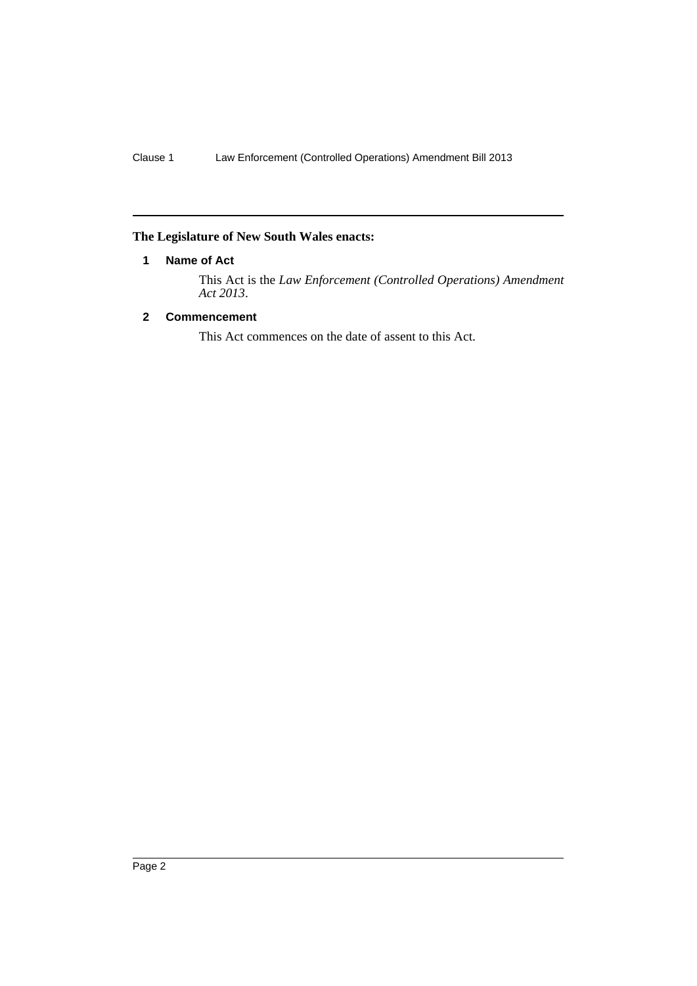## <span id="page-3-0"></span>**The Legislature of New South Wales enacts:**

#### **1 Name of Act**

This Act is the *Law Enforcement (Controlled Operations) Amendment Act 2013*.

### <span id="page-3-1"></span>**2 Commencement**

This Act commences on the date of assent to this Act.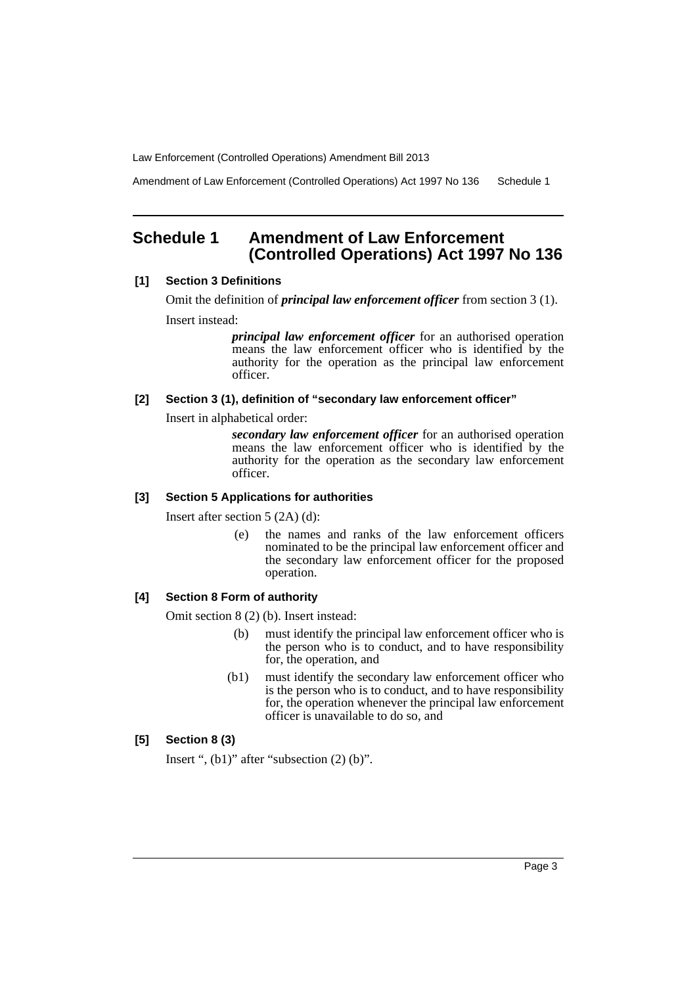Amendment of Law Enforcement (Controlled Operations) Act 1997 No 136 Schedule 1

## <span id="page-4-0"></span>**Schedule 1 Amendment of Law Enforcement (Controlled Operations) Act 1997 No 136**

#### **[1] Section 3 Definitions**

Omit the definition of *principal law enforcement officer* from section 3 (1). Insert instead:

> *principal law enforcement officer* for an authorised operation means the law enforcement officer who is identified by the authority for the operation as the principal law enforcement officer.

#### **[2] Section 3 (1), definition of "secondary law enforcement officer"**

Insert in alphabetical order:

*secondary law enforcement officer* for an authorised operation means the law enforcement officer who is identified by the authority for the operation as the secondary law enforcement officer.

#### **[3] Section 5 Applications for authorities**

Insert after section 5 (2A) (d):

(e) the names and ranks of the law enforcement officers nominated to be the principal law enforcement officer and the secondary law enforcement officer for the proposed operation.

#### **[4] Section 8 Form of authority**

Omit section 8 (2) (b). Insert instead:

- (b) must identify the principal law enforcement officer who is the person who is to conduct, and to have responsibility for, the operation, and
- (b1) must identify the secondary law enforcement officer who is the person who is to conduct, and to have responsibility for, the operation whenever the principal law enforcement officer is unavailable to do so, and

### **[5] Section 8 (3)**

Insert ",  $(b1)$ " after "subsection  $(2)$   $(b)$ ".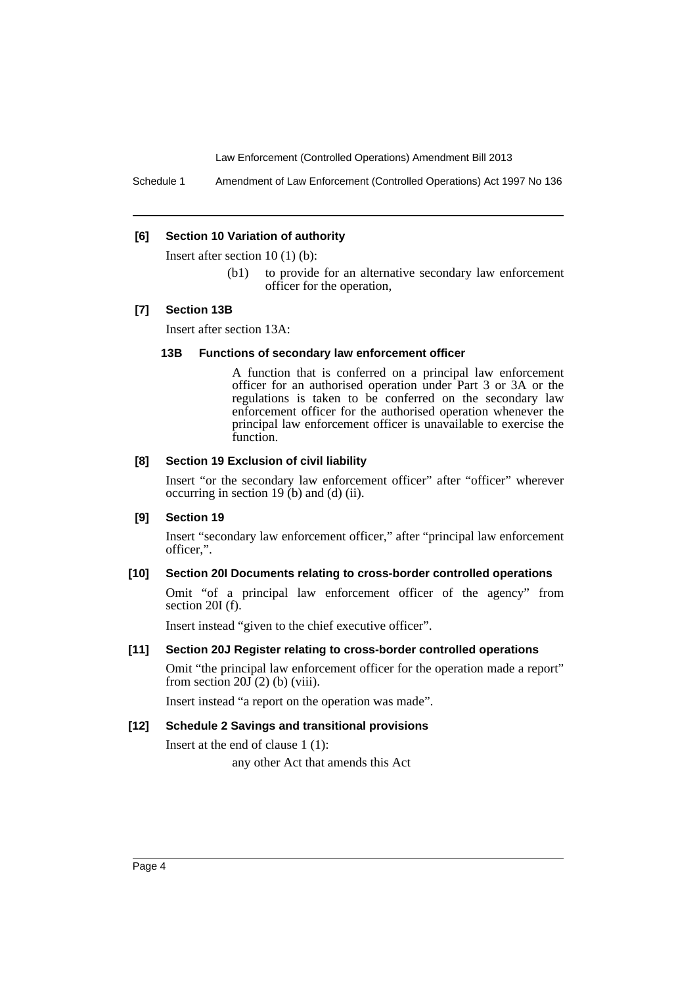Schedule 1 Amendment of Law Enforcement (Controlled Operations) Act 1997 No 136

#### **[6] Section 10 Variation of authority**

Insert after section 10 (1) (b):

(b1) to provide for an alternative secondary law enforcement officer for the operation,

#### **[7] Section 13B**

Insert after section 13A:

#### **13B Functions of secondary law enforcement officer**

A function that is conferred on a principal law enforcement officer for an authorised operation under Part 3 or 3A or the regulations is taken to be conferred on the secondary law enforcement officer for the authorised operation whenever the principal law enforcement officer is unavailable to exercise the function.

#### **[8] Section 19 Exclusion of civil liability**

Insert "or the secondary law enforcement officer" after "officer" wherever occurring in section 19  $(b)$  and  $(d)$  (ii).

#### **[9] Section 19**

Insert "secondary law enforcement officer," after "principal law enforcement officer,".

#### **[10] Section 20I Documents relating to cross-border controlled operations**

Omit "of a principal law enforcement officer of the agency" from section 20I (f).

Insert instead "given to the chief executive officer".

#### **[11] Section 20J Register relating to cross-border controlled operations**

Omit "the principal law enforcement officer for the operation made a report" from section  $20\overline{J}(2)$  (b) (viii).

Insert instead "a report on the operation was made".

#### **[12] Schedule 2 Savings and transitional provisions**

Insert at the end of clause 1 (1):

any other Act that amends this Act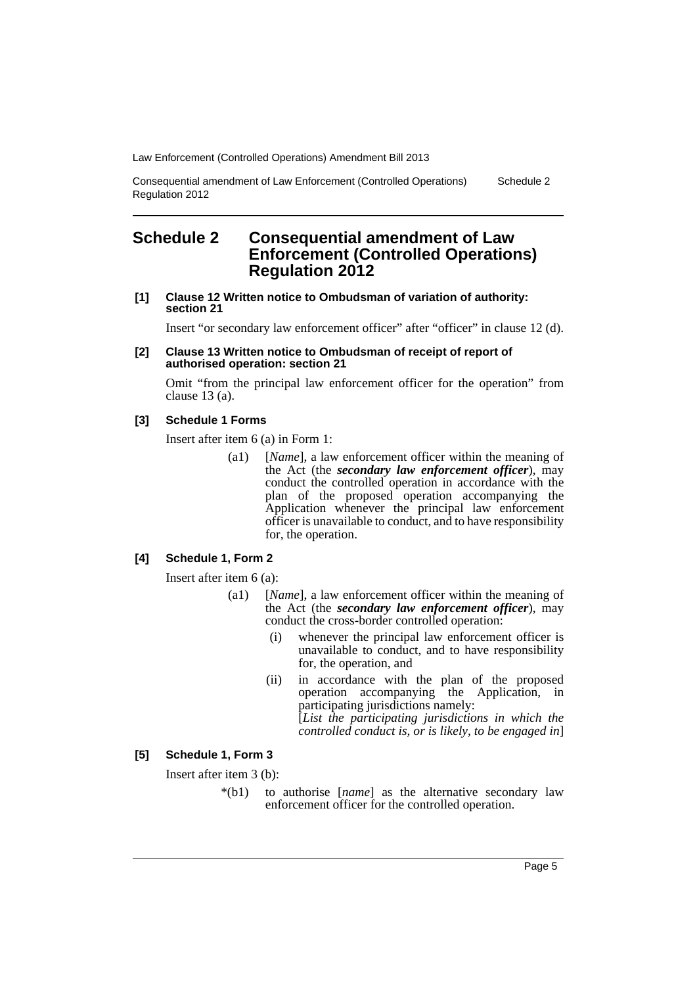Consequential amendment of Law Enforcement (Controlled Operations) Regulation 2012

## <span id="page-6-0"></span>**Schedule 2 Consequential amendment of Law Enforcement (Controlled Operations) Regulation 2012**

**[1] Clause 12 Written notice to Ombudsman of variation of authority: section 21**

Insert "or secondary law enforcement officer" after "officer" in clause 12 (d).

#### **[2] Clause 13 Written notice to Ombudsman of receipt of report of authorised operation: section 21**

Omit "from the principal law enforcement officer for the operation" from clause 13 (a).

#### **[3] Schedule 1 Forms**

Insert after item 6 (a) in Form 1:

(a1) [*Name*], a law enforcement officer within the meaning of the Act (the *secondary law enforcement officer*), may conduct the controlled operation in accordance with the plan of the proposed operation accompanying the Application whenever the principal law enforcement officer is unavailable to conduct, and to have responsibility for, the operation.

#### **[4] Schedule 1, Form 2**

Insert after item 6 (a):

- (a1) [*Name*], a law enforcement officer within the meaning of the Act (the *secondary law enforcement officer*), may conduct the cross-border controlled operation:
	- (i) whenever the principal law enforcement officer is unavailable to conduct, and to have responsibility for, the operation, and
	- (ii) in accordance with the plan of the proposed operation accompanying the Application, in participating jurisdictions namely: [*List the participating jurisdictions in which the controlled conduct is, or is likely, to be engaged in*]

#### **[5] Schedule 1, Form 3**

Insert after item 3 (b):

\*(b1) to authorise [*name*] as the alternative secondary law enforcement officer for the controlled operation.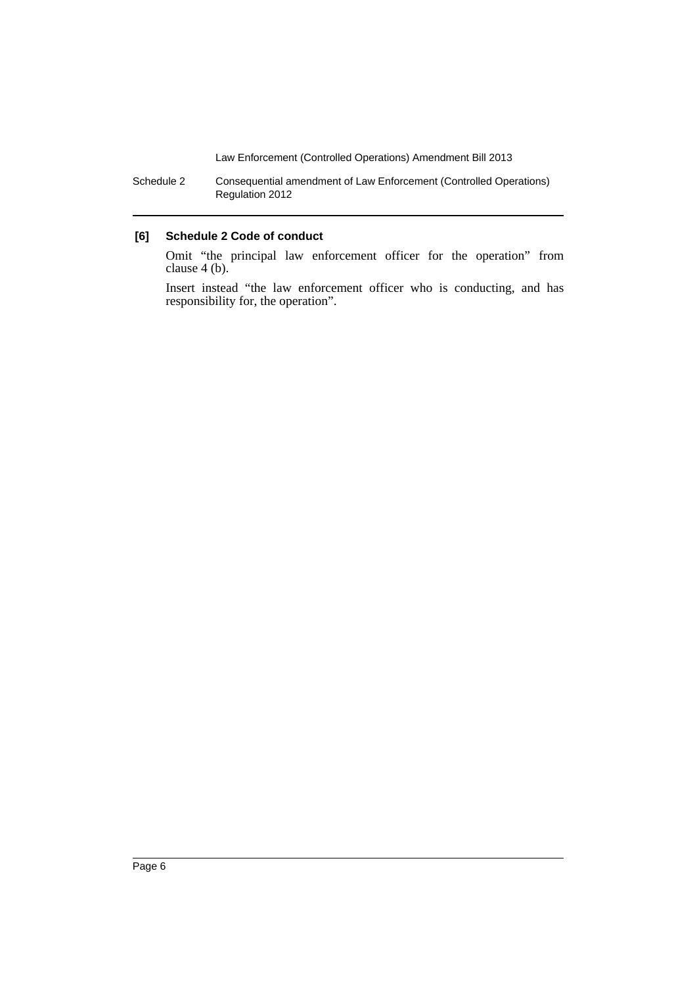Schedule 2 Consequential amendment of Law Enforcement (Controlled Operations) Regulation 2012

#### **[6] Schedule 2 Code of conduct**

Omit "the principal law enforcement officer for the operation" from clause 4 (b).

Insert instead "the law enforcement officer who is conducting, and has responsibility for, the operation".